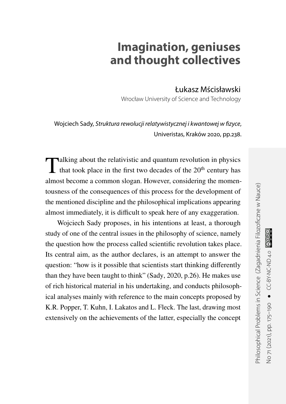## **Imagination, geniuses and thought collectives**

Łukasz Mścisławski

Wrocław University of Science and Technology

Wojciech Sady, Struktura rewolucji relatywistycznej i kwantowej w fizyce, Univeristas, Kraków 2020, pp.238.

Talking about the relativistic and quantum revolution in physics<br>that took place in the first two decades of the 20<sup>th</sup> century has that took place in the first two decades of the  $20<sup>th</sup>$  century has almost become a common slogan. However, considering the momentousness of the consequences of this process for the development of the mentioned discipline and the philosophical implications appearing almost immediately, it is difficult to speak here of any exaggeration.

Wojciech Sady proposes, in his intentions at least, a thorough study of one of the central issues in the philosophy of science, namely the question how the process called scientific revolution takes place. Its central aim, as the author declares, is an attempt to answer the question: "how is it possible that scientists start thinking differently than they have been taught to think" (Sady, [2020,](#page-14-0) p.26). He makes use of rich historical material in his undertaking, and conducts philosophical analyses mainly with reference to the main concepts proposed by K.R. Popper, T. Kuhn, I. Lakatos and L. Fleck. The last, drawing most extensively on the achievements of the latter, especially the concept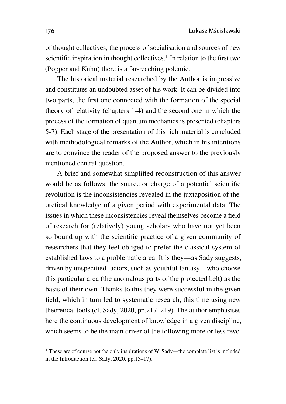of thought collectives, the process of socialisation and sources of new scientific inspiration in thought collectives.<sup>[1](#page-1-0)</sup> In relation to the first two (Popper and Kuhn) there is a far-reaching polemic.

The historical material researched by the Author is impressive and constitutes an undoubted asset of his work. It can be divided into two parts, the first one connected with the formation of the special theory of relativity (chapters 1-4) and the second one in which the process of the formation of quantum mechanics is presented (chapters 5-7). Each stage of the presentation of this rich material is concluded with methodological remarks of the Author, which in his intentions are to convince the reader of the proposed answer to the previously mentioned central question.

A brief and somewhat simplified reconstruction of this answer would be as follows: the source or charge of a potential scientific revolution is the inconsistencies revealed in the juxtaposition of theoretical knowledge of a given period with experimental data. The issues in which these inconsistencies reveal themselves become a field of research for (relatively) young scholars who have not yet been so bound up with the scientific practice of a given community of researchers that they feel obliged to prefer the classical system of established laws to a problematic area. It is they—as Sady suggests, driven by unspecified factors, such as youthful fantasy—who choose this particular area (the anomalous parts of the protected belt) as the basis of their own. Thanks to this they were successful in the given field, which in turn led to systematic research, this time using new theoretical tools (cf. Sady, [2020,](#page-14-0) pp.217–219). The author emphasises here the continuous development of knowledge in a given discipline, which seems to be the main driver of the following more or less revo-

<span id="page-1-0"></span><sup>&</sup>lt;sup>1</sup> These are of course not the only inspirations of W. Sady—the complete list is included in the Introduction (cf. Sady, [2020,](#page-14-0) pp.15–17).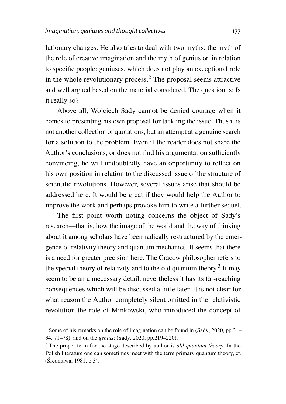lutionary changes. He also tries to deal with two myths: the myth of the role of creative imagination and the myth of genius or, in relation to specific people: geniuses, which does not play an exceptional role in the whole revolutionary process.[2](#page-2-0) The proposal seems attractive and well argued based on the material considered. The question is: Is it really so?

Above all, Wojciech Sady cannot be denied courage when it comes to presenting his own proposal for tackling the issue. Thus it is not another collection of quotations, but an attempt at a genuine search for a solution to the problem. Even if the reader does not share the Author's conclusions, or does not find his argumentation sufficiently convincing, he will undoubtedly have an opportunity to reflect on his own position in relation to the discussed issue of the structure of scientific revolutions. However, several issues arise that should be addressed here. It would be great if they would help the Author to improve the work and perhaps provoke him to write a further sequel.

The first point worth noting concerns the object of Sady's research—that is, how the image of the world and the way of thinking about it among scholars have been radically restructured by the emergence of relativity theory and quantum mechanics. It seems that there is a need for greater precision here. The Cracow philosopher refers to the special theory of relativity and to the old quantum theory.<sup>[3](#page-2-1)</sup> It may seem to be an unnecessary detail, nevertheless it has its far-reaching consequences which will be discussed a little later. It is not clear for what reason the Author completely silent omitted in the relativistic revolution the role of Minkowski, who introduced the concept of

<span id="page-2-0"></span> $2$  Some of his remarks on the role of imagination can be found in (Sady, [2020,](#page-14-0) pp. 31– 34, 71–78), and on the *genius*: (Sady, [2020,](#page-14-0) pp.219–220).

<span id="page-2-1"></span><sup>3</sup> The proper term for the stage described by author is *old quantum theory*. In the Polish literature one can sometimes meet with the term primary quantum theory, cf.  $(Sredniawa, 1981, p.3)$  $(Sredniawa, 1981, p.3)$  $(Sredniawa, 1981, p.3)$ .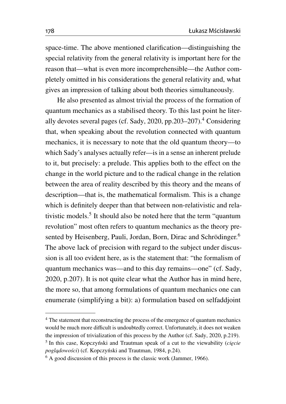space-time. The above mentioned clarification—distinguishing the special relativity from the general relativity is important here for the reason that—what is even more incomprehensible—the Author completely omitted in his considerations the general relativity and, what gives an impression of talking about both theories simultaneously.

He also presented as almost trivial the process of the formation of quantum mechanics as a stabilised theory. To this last point he liter-ally devotes several pages (cf. Sady, [2020,](#page-14-0) pp.203–207).<sup>[4](#page-3-0)</sup> Considering that, when speaking about the revolution connected with quantum mechanics, it is necessary to note that the old quantum theory—to which Sady's analyses actually refer—is in a sense an inherent prelude to it, but precisely: a prelude. This applies both to the effect on the change in the world picture and to the radical change in the relation between the area of reality described by this theory and the means of description—that is, the mathematical formalism. This is a change which is definitely deeper than that between non-relativistic and relativistic models.[5](#page-3-1) It should also be noted here that the term "quantum revolution" most often refers to quantum mechanics as the theory pre-sented by Heisenberg, Pauli, Jordan, Born, Dirac and Schrödinger.<sup>[6](#page-3-2)</sup> The above lack of precision with regard to the subject under discussion is all too evident here, as is the statement that: "the formalism of quantum mechanics was—and to this day remains—one" (cf. Sady, [2020,](#page-14-0) p.207). It is not quite clear what the Author has in mind here, the more so, that among formulations of quantum mechanics one can enumerate (simplifying a bit): a) formulation based on selfaddjoint

<span id="page-3-0"></span><sup>4</sup> The statement that reconstructing the process of the emergence of quantum mechanics would be much more difficult is undoubtedly correct. Unfortunately, it does not weaken the impression of trivialization of this process by the Author (cf. Sady, [2020,](#page-14-0) p.219). <sup>5</sup> In this case, Kopczyński and Trautman speak of a cut to the viewability (cięcie  $pogladowości$  (cf. Kopczyński and Trautman, [1984,](#page-14-1) p.24).

<span id="page-3-2"></span><span id="page-3-1"></span> $6$  A good discussion of this process is the classic work (Jammer, [1966\)](#page-14-2).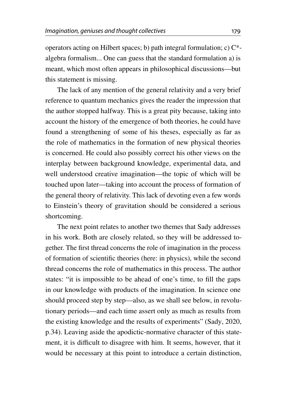operators acting on Hilbert spaces; b) path integral formulation; c)  $C^*$ algebra formalism... One can guess that the standard formulation a) is meant, which most often appears in philosophical discussions—but this statement is missing.

The lack of any mention of the general relativity and a very brief reference to quantum mechanics gives the reader the impression that the author stopped halfway. This is a great pity because, taking into account the history of the emergence of both theories, he could have found a strengthening of some of his theses, especially as far as the role of mathematics in the formation of new physical theories is concerned. He could also possibly correct his other views on the interplay between background knowledge, experimental data, and well understood creative imagination—the topic of which will be touched upon later—taking into account the process of formation of the general theory of relativity. This lack of devoting even a few words to Einstein's theory of gravitation should be considered a serious shortcoming.

The next point relates to another two themes that Sady addresses in his work. Both are closely related, so they will be addressed together. The first thread concerns the role of imagination in the process of formation of scientific theories (here: in physics), while the second thread concerns the role of mathematics in this process. The author states: "it is impossible to be ahead of one's time, to fill the gaps in our knowledge with products of the imagination. In science one should proceed step by step—also, as we shall see below, in revolutionary periods—and each time assert only as much as results from the existing knowledge and the results of experiments" (Sady, [2020,](#page-14-0) p.34). Leaving aside the apodictic-normative character of this statement, it is difficult to disagree with him. It seems, however, that it would be necessary at this point to introduce a certain distinction,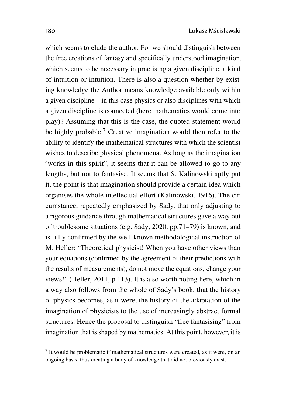which seems to elude the author. For we should distinguish between the free creations of fantasy and specifically understood imagination, which seems to be necessary in practising a given discipline, a kind of intuition or intuition. There is also a question whether by existing knowledge the Author means knowledge available only within a given discipline—in this case physics or also disciplines with which a given discipline is connected (here mathematics would come into play)? Assuming that this is the case, the quoted statement would be highly probable.<sup>[7](#page-5-0)</sup> Creative imagination would then refer to the ability to identify the mathematical structures with which the scientist wishes to describe physical phenomena. As long as the imagination "works in this spirit", it seems that it can be allowed to go to any lengths, but not to fantasise. It seems that S. Kalinowski aptly put it, the point is that imagination should provide a certain idea which organises the whole intellectual effort (Kalinowski, [1916\)](#page-14-3). The circumstance, repeatedly emphasized by Sady, that only adjusting to a rigorous guidance through mathematical structures gave a way out of troublesome situations (e.g. Sady, [2020,](#page-14-0) pp.71–79) is known, and is fully confirmed by the well-known methodological instruction of M. Heller: "Theoretical physicist! When you have other views than your equations (confirmed by the agreement of their predictions with the results of measurements), do not move the equations, change your views!" (Heller, [2011,](#page-14-4) p.113). It is also worth noting here, which in a way also follows from the whole of Sady's book, that the history of physics becomes, as it were, the history of the adaptation of the imagination of physicists to the use of increasingly abstract formal structures. Hence the proposal to distinguish "free fantasising" from imagination that is shaped by mathematics. At this point, however, it is

<span id="page-5-0"></span><sup>&</sup>lt;sup>7</sup> It would be problematic if mathematical structures were created, as it were, on an ongoing basis, thus creating a body of knowledge that did not previously exist.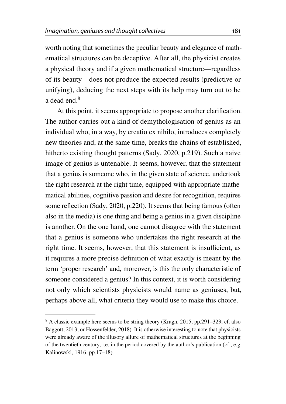worth noting that sometimes the peculiar beauty and elegance of mathematical structures can be deceptive. After all, the physicist creates a physical theory and if a given mathematical structure—regardless of its beauty—does not produce the expected results (predictive or unifying), deducing the next steps with its help may turn out to be a dead end.[8](#page-6-0)

At this point, it seems appropriate to propose another clarification. The author carries out a kind of demythologisation of genius as an individual who, in a way, by creatio ex nihilo, introduces completely new theories and, at the same time, breaks the chains of established, hitherto existing thought patterns (Sady, [2020,](#page-14-0) p.219). Such a naive image of genius is untenable. It seems, however, that the statement that a genius is someone who, in the given state of science, undertook the right research at the right time, equipped with appropriate mathematical abilities, cognitive passion and desire for recognition, requires some reflection (Sady, [2020,](#page-14-0) p.220). It seems that being famous (often also in the media) is one thing and being a genius in a given discipline is another. On the one hand, one cannot disagree with the statement that a genius is someone who undertakes the right research at the right time. It seems, however, that this statement is insufficient, as it requires a more precise definition of what exactly is meant by the term 'proper research' and, moreover, is this the only characteristic of someone considered a genius? In this context, it is worth considering not only which scientists physicists would name as geniuses, but, perhaps above all, what criteria they would use to make this choice.

<span id="page-6-0"></span><sup>8</sup> A classic example here seems to be string theory (Kragh, [2015,](#page-14-5) pp.291–323; cf. also Baggott, [2013;](#page-14-6) or Hossenfelder, [2018\)](#page-14-7). It is otherwise interesting to note that physicists were already aware of the illusory allure of mathematical structures at the beginning of the twentieth century, i.e. in the period covered by the author's publication (cf., e.g. Kalinowski, [1916,](#page-14-3) pp.17–18).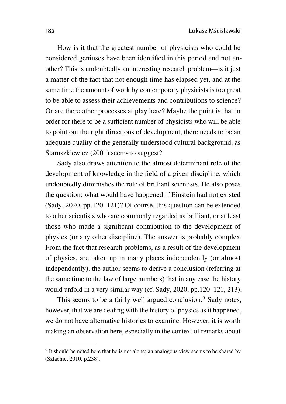How is it that the greatest number of physicists who could be considered geniuses have been identified in this period and not another? This is undoubtedly an interesting research problem—is it just a matter of the fact that not enough time has elapsed yet, and at the same time the amount of work by contemporary physicists is too great to be able to assess their achievements and contributions to science? Or are there other processes at play here? Maybe the point is that in order for there to be a sufficient number of physicists who will be able to point out the right directions of development, there needs to be an adequate quality of the generally understood cultural background, as Staruszkiewicz [\(2001\)](#page-14-8) seems to suggest?

Sady also draws attention to the almost determinant role of the development of knowledge in the field of a given discipline, which undoubtedly diminishes the role of brilliant scientists. He also poses the question: what would have happened if Einstein had not existed (Sady, [2020,](#page-14-0) pp.120–121)? Of course, this question can be extended to other scientists who are commonly regarded as brilliant, or at least those who made a significant contribution to the development of physics (or any other discipline). The answer is probably complex. From the fact that research problems, as a result of the development of physics, are taken up in many places independently (or almost independently), the author seems to derive a conclusion (referring at the same time to the law of large numbers) that in any case the history would unfold in a very similar way (cf. Sady, [2020,](#page-14-0) pp.120–121, 213).

This seems to be a fairly well argued conclusion.<sup>[9](#page-7-0)</sup> Sady notes, however, that we are dealing with the history of physics as it happened, we do not have alternative histories to examine. However, it is worth making an observation here, especially in the context of remarks about

<span id="page-7-0"></span><sup>&</sup>lt;sup>9</sup> It should be noted here that he is not alone; an analogous view seems to be shared by (Szlachic, [2010,](#page-14-9) p.238).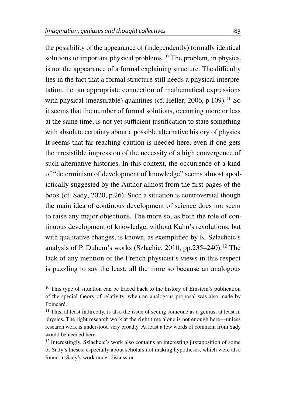the possibility of the appearance of (independently) formally identical solutions to important physical problems.<sup>[10](#page-8-0)</sup> The problem, in physics, is not the appearance of a formal explaining structure. The difficulty lies in the fact that a formal structure still needs a physical interpretation, i.e. an appropriate connection of mathematical expressions with physical (measurable) quantities (cf. Heller, [2006,](#page-14-10) p.109).<sup>[11](#page-8-1)</sup> So it seems that the number of formal solutions, occurring more or less at the same time, is not yet sufficient justification to state something with absolute certainty about a possible alternative history of physics. It seems that far-reaching caution is needed here, even if one gets the irresistible impression of the necessity of a high convergence of such alternative histories. In this context, the occurrence of a kind of "determinism of development of knowledge" seems almost apodictically suggested by the Author almost from the first pages of the book (cf. Sady, [2020,](#page-14-0) p.26). Such a situation is controversial though the main idea of continous development of science does not seem to raise any major objections. The more so, as both the role of continuous development of knowledge, without Kuhn's revolutions, but with qualitative changes, is known, as exemplified by K. Szlachcic's analysis of P. Duhem's works (Szlachic, [2010,](#page-14-9) pp.235–240).<sup>[12](#page-8-2)</sup> The lack of any mention of the French physicist's views in this respect is puzzling to say the least, all the more so because an analogous

<span id="page-8-0"></span><sup>&</sup>lt;sup>10</sup> This type of situation can be traced back to the history of Einstein's publication of the special theory of relativity, when an analogous proposal was also made by Poincaré.

<span id="page-8-1"></span><sup>&</sup>lt;sup>11</sup> This, at least indirectly, is also the issue of seeing someone as a genius, at least in physics. The right research work at the right time alone is not enough here—unless research work is understood very broadly. At least a few words of comment from Sady would be needed here.

<span id="page-8-2"></span><sup>&</sup>lt;sup>12</sup> Interestingly, Szlachcic's work also contains an interesting juxtaposition of some of Sady's theses, especially about scholars not making hypotheses, which were also found in Sady's work under discussion.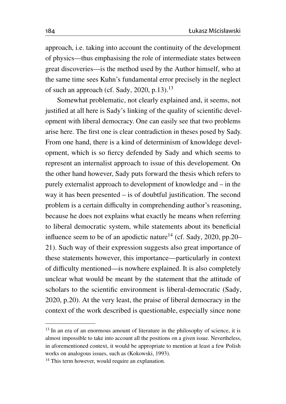approach, i.e. taking into account the continuity of the development of physics—thus emphasising the role of intermediate states between great discoveries—is the method used by the Author himself, who at the same time sees Kuhn's fundamental error precisely in the neglect of such an approach (cf. Sady, [2020,](#page-14-0) p.[13](#page-9-0)).<sup>13</sup>

Somewhat problematic, not clearly explained and, it seems, not justified at all here is Sady's linking of the quality of scientific development with liberal democracy. One can easily see that two problems arise here. The first one is clear contradiction in theses posed by Sady. From one hand, there is a kind of determinism of knowldege development, which is so fiercy defended by Sady and which seems to represent an internalist approach to issue of this developement. On the other hand however, Sady puts forward the thesis which refers to purely externalist approach to development of knowledge and – in the way it has been presented – is of doubtful justification. The second problem is a certain difficulty in comprehending author's reasoning, because he does not explains what exactly he means when referring to liberal democratic system, while statements about its beneficial influence seem to be of an apodictic nature<sup>[14](#page-9-1)</sup> (cf. Sady, [2020,](#page-14-0) pp.20– 21). Such way of their expression suggests also great importance of these statements however, this importance—particularly in context of difficulty mentioned—is nowhere explained. It is also completely unclear what would be meant by the statement that the attitude of scholars to the scientific environment is liberal-democratic (Sady, [2020,](#page-14-0) p.20). At the very least, the praise of liberal democracy in the context of the work described is questionable, especially since none

<span id="page-9-0"></span><sup>&</sup>lt;sup>13</sup> In an era of an enormous amount of literature in the philosophy of science, it is almost impossible to take into account all the positions on a given issue. Nevertheless, in aforementioned context, it would be appropriate to mention at least a few Polish works on analogous issues, such as (Kokowski, [1993\)](#page-14-11).

<span id="page-9-1"></span><sup>&</sup>lt;sup>14</sup> This term however, would require an explanation.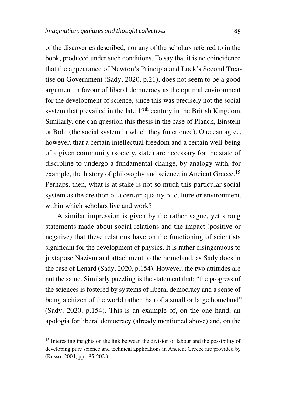of the discoveries described, nor any of the scholars referred to in the book, produced under such conditions. To say that it is no coincidence that the appearance of Newton's Principia and Lock's Second Treatise on Government (Sady, [2020,](#page-14-0) p.21), does not seem to be a good argument in favour of liberal democracy as the optimal environment for the development of science, since this was precisely not the social system that prevailed in the late  $17<sup>th</sup>$  century in the British Kingdom. Similarly, one can question this thesis in the case of Planck, Einstein or Bohr (the social system in which they functioned). One can agree, however, that a certain intellectual freedom and a certain well-being of a given community (society, state) are necessary for the state of discipline to undergo a fundamental change, by analogy with, for example, the history of philosophy and science in Ancient Greece.<sup>[15](#page-10-0)</sup> Perhaps, then, what is at stake is not so much this particular social system as the creation of a certain quality of culture or environment, within which scholars live and work?

A similar impression is given by the rather vague, yet strong statements made about social relations and the impact (positive or negative) that these relations have on the functioning of scientists significant for the development of physics. It is rather disingenuous to juxtapose Nazism and attachment to the homeland, as Sady does in the case of Lenard (Sady, [2020,](#page-14-0) p.154). However, the two attitudes are not the same. Similarly puzzling is the statement that: "the progress of the sciences is fostered by systems of liberal democracy and a sense of being a citizen of the world rather than of a small or large homeland" (Sady, [2020,](#page-14-0) p.154). This is an example of, on the one hand, an apologia for liberal democracy (already mentioned above) and, on the

<span id="page-10-0"></span><sup>&</sup>lt;sup>15</sup> Interesting insights on the link between the division of labour and the possibility of developing pure science and technical applications in Ancient Greece are provided by (Russo, [2004,](#page-14-12) pp.185-202.).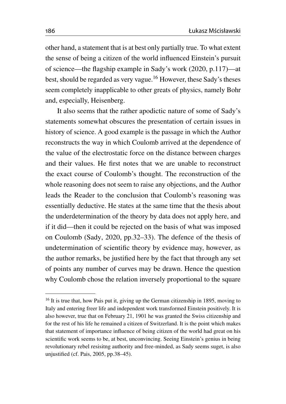other hand, a statement that is at best only partially true. To what extent the sense of being a citizen of the world influenced Einstein's pursuit of science—the flagship example in Sady's work [\(2020,](#page-14-0) p.117)—at best, should be regarded as very vague.[16](#page-11-0) However, these Sady's theses seem completely inapplicable to other greats of physics, namely Bohr and, especially, Heisenberg.

It also seems that the rather apodictic nature of some of Sady's statements somewhat obscures the presentation of certain issues in history of science. A good example is the passage in which the Author reconstructs the way in which Coulomb arrived at the dependence of the value of the electrostatic force on the distance between charges and their values. He first notes that we are unable to reconstruct the exact course of Coulomb's thought. The reconstruction of the whole reasoning does not seem to raise any objections, and the Author leads the Reader to the conclusion that Coulomb's reasoning was essentially deductive. He states at the same time that the thesis about the underdetermination of the theory by data does not apply here, and if it did—then it could be rejected on the basis of what was imposed on Coulomb (Sady, [2020,](#page-14-0) pp.32–33). The defence of the thesis of undetermination of scientific theory by evidence may, however, as the author remarks, be justified here by the fact that through any set of points any number of curves may be drawn. Hence the question why Coulomb chose the relation inversely proportional to the square

<span id="page-11-0"></span><sup>&</sup>lt;sup>16</sup> It is true that, how Pais put it, giving up the German citizenship in 1895, moving to Italy and entering freer life and independent work transformed Einstein positively. It is also however, true that on February 21, 1901 he was granted the Swiss citizenship and for the rest of his life he remained a citizen of Switzerland. It is the point which makes that statement of importance influence of being citizen of the world had great on his scientific work seems to be, at best, unconvincing. Seeing Einstein's genius in being revolutionary rebel resisitng authority and free-minded, as Sady seems suget, is also unjustified (cf. Pais, [2005,](#page-14-13) pp.38–45).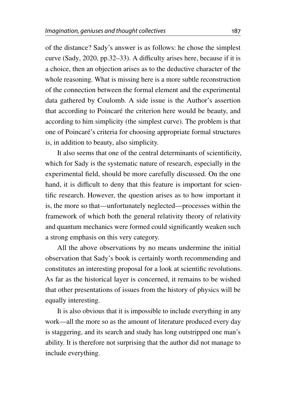of the distance? Sady's answer is as follows: he chose the simplest curve (Sady, [2020,](#page-14-0) pp.32–33). A difficulty arises here, because if it is a choice, then an objection arises as to the deductive character of the whole reasoning. What is missing here is a more subtle reconstruction of the connection between the formal element and the experimental data gathered by Coulomb. A side issue is the Author's assertion that according to Poincaré the criterion here would be beauty, and according to him simplicity (the simplest curve). The problem is that one of Poincaré's criteria for choosing appropriate formal structures is, in addition to beauty, also simplicity.

It also seems that one of the central determinants of scientificity, which for Sady is the systematic nature of research, especially in the experimental field, should be more carefully discussed. On the one hand, it is difficult to deny that this feature is important for scientific research. However, the question arises as to how important it is, the more so that—unfortunately neglected—processes within the framework of which both the general relativity theory of relativity and quantum mechanics were formed could significantly weaken such a strong emphasis on this very category.

All the above observations by no means undermine the initial observation that Sady's book is certainly worth recommending and constitutes an interesting proposal for a look at scientific revolutions. As far as the historical layer is concerned, it remains to be wished that other presentations of issues from the history of physics will be equally interesting.

It is also obvious that it is impossible to include everything in any work—all the more so as the amount of literature produced every day is staggering, and its search and study has long outstripped one man's ability. It is therefore not surprising that the author did not manage to include everything.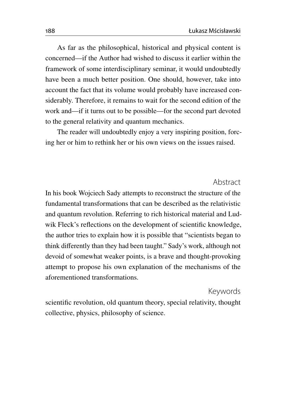As far as the philosophical, historical and physical content is concerned—if the Author had wished to discuss it earlier within the framework of some interdisciplinary seminar, it would undoubtedly have been a much better position. One should, however, take into account the fact that its volume would probably have increased considerably. Therefore, it remains to wait for the second edition of the work and—if it turns out to be possible—for the second part devoted to the general relativity and quantum mechanics.

The reader will undoubtedly enjoy a very inspiring position, forcing her or him to rethink her or his own views on the issues raised.

Abstract

In his book Wojciech Sady attempts to reconstruct the structure of the fundamental transformations that can be described as the relativistic and quantum revolution. Referring to rich historical material and Ludwik Fleck's reflections on the development of scientific knowledge, the author tries to explain how it is possible that "scientists began to think differently than they had been taught." Sady's work, although not devoid of somewhat weaker points, is a brave and thought-provoking attempt to propose his own explanation of the mechanisms of the aforementioned transformations.

## Keywords

scientific revolution, old quantum theory, special relativity, thought collective, physics, philosophy of science.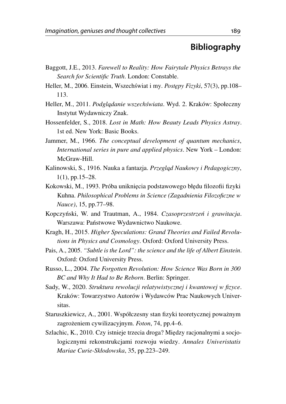## **Bibliography**

- <span id="page-14-6"></span>Baggott, J.E., 2013. *Farewell to Reality: How Fairytale Physics Betrays the Search for Scientific Truth*. London: Constable.
- <span id="page-14-10"></span>Heller, M., 2006. Einstein, Wszechświat i my. Postępy Fizyki, 57(3), pp.108– 113.
- <span id="page-14-4"></span>Heller, M., 2011. *Podglądanie wszechświata*. Wyd. 2. Kraków: Społeczny Instytut Wydawniczy Znak.
- <span id="page-14-7"></span>Hossenfelder, S., 2018. *Lost in Math: How Beauty Leads Physics Astray*. 1st ed. New York: Basic Books.
- <span id="page-14-2"></span>Jammer, M., 1966. *The conceptual development of quantum mechanics*, *International series in pure and applied physics*. New York – London: McGraw-Hill.
- <span id="page-14-3"></span>Kalinowski, S., 1916. Nauka a fantazja. Przegląd Naukowy i Pedagogiczny, 1(1), pp.15–28.
- <span id="page-14-11"></span>Kokowski, M., 1993. Próba uniknięcia podstawowego błędu filozofii fizyki Kuhna. *Philosophical Problems in Science (Zagadnienia Filozoficzne w Nauce)*, 15, pp.77–98.
- <span id="page-14-1"></span>Kopczyński, W. and Trautman, A., 1984. Czasoprzestrzeń i grawitacja. Warszawa: Państwowe Wydawnictwo Naukowe.
- <span id="page-14-5"></span>Kragh, H., 2015. *Higher Speculations: Grand Theories and Failed Revolutions in Physics and Cosmology*. Oxford: Oxford University Press.
- <span id="page-14-13"></span>Pais, A., 2005. *"Subtle is the Lord": the science and the life of Albert Einstein*. Oxford: Oxford University Press.
- <span id="page-14-12"></span>Russo, L., 2004. *The Forgotten Revolution: How Science Was Born in 300 BC and Why It Had to Be Reborn*. Berlin: Springer.
- <span id="page-14-0"></span>Sady, W., 2020. *Struktura rewolucji relatywistycznej i kwantowej w fizyce*. Kraków: Towarzystwo Autorów i Wydawców Prac Naukowych Universitas.
- <span id="page-14-8"></span>Staruszkiewicz, A., 2001. Współczesny stan fizyki teoretycznej poważnym zagrożeniem cywilizacyjnym. *Foton*, 74, pp.4–6.
- <span id="page-14-9"></span>Szlachic, K., 2010. Czy istnieje trzecia droga? Między racjonalnymi a socjologicznymi rekonstrukcjami rozwoju wiedzy. *Annales Univeristatis Mariae Curie-Skłodowska*, 35, pp.223–249.